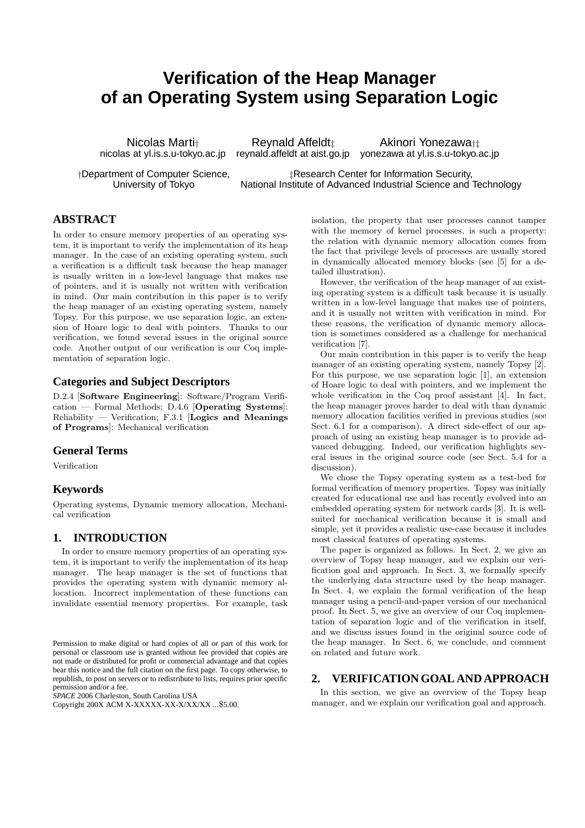# **Verification of the Heap Manager of an Operating System using Separation Logic**

Nicolas Marti† Reynald Affeldt<sub>‡</sub> Akinori Yonezawa<sub>†‡</sub> nicolas at yl.is.s.u-tokyo.ac.jp reynald.affeldt at aist.go.jp yonezawa at yl.is.s.u-tokyo.ac.jp

†Department of Computer Science, ‡Research Center for Information Security, University of Tokyo National Institute of Advanced Industrial Science and Technology

# **ABSTRACT**

In order to ensure memory properties of an operating system, it is important to verify the implementation of its heap manager. In the case of an existing operating system, such a verification is a difficult task because the heap manager is usually written in a low-level language that makes use of pointers, and it is usually not written with verification in mind. Our main contribution in this paper is to verify the heap manager of an existing operating system, namely Topsy. For this purpose, we use separation logic, an extension of Hoare logic to deal with pointers. Thanks to our verification, we found several issues in the original source code. Another output of our verification is our Coq implementation of separation logic.

# **Categories and Subject Descriptors**

D.2.4 [Software Engineering]: Software/Program Verification — Formal Methods; D.4.6 [Operating Systems]: Reliability — Verification; F.3.1 [Logics and Meanings] of Programs]: Mechanical verification

# **General Terms**

Verification

# **Keywords**

Operating systems, Dynamic memory allocation, Mechanical verification

# **1. INTRODUCTION**

In order to ensure memory properties of an operating system, it is important to verify the implementation of its heap manager. The heap manager is the set of functions that provides the operating system with dynamic memory allocation. Incorrect implementation of these functions can invalidate essential memory properties. For example, task

*SPACE* 2006 Charleston, South Carolina USA

isolation, the property that user processes cannot tamper with the memory of kernel processes, is such a property: the relation with dynamic memory allocation comes from the fact that privilege levels of processes are usually stored in dynamically allocated memory blocks (see [5] for a detailed illustration).

However, the verification of the heap manager of an existing operating system is a difficult task because it is usually written in a low-level language that makes use of pointers, and it is usually not written with verification in mind. For these reasons, the verification of dynamic memory allocation is sometimes considered as a challenge for mechanical verification [7].

Our main contribution in this paper is to verify the heap manager of an existing operating system, namely Topsy [2]. For this purpose, we use separation logic [1], an extension of Hoare logic to deal with pointers, and we implement the whole verification in the Coq proof assistant [4]. In fact, the heap manager proves harder to deal with than dynamic memory allocation facilities verified in previous studies (see Sect. 6.1 for a comparison). A direct side-effect of our approach of using an existing heap manager is to provide advanced debugging. Indeed, our verification highlights several issues in the original source code (see Sect. 5.4 for a discussion).

We chose the Topsy operating system as a test-bed for formal verification of memory properties. Topsy was initially created for educational use and has recently evolved into an embedded operating system for network cards [3]. It is wellsuited for mechanical verification because it is small and simple, yet it provides a realistic use-case because it includes most classical features of operating systems.

The paper is organized as follows. In Sect. 2, we give an overview of Topsy heap manager, and we explain our verification goal and approach. In Sect. 3, we formally specify the underlying data structure used by the heap manager. In Sect. 4, we explain the formal verification of the heap manager using a pencil-and-paper version of our mechanical proof. In Sect. 5, we give an overview of our Coq implementation of separation logic and of the verification in itself, and we discuss issues found in the original source code of the heap manager. In Sect. 6, we conclude, and comment on related and future work.

## **2. VERIFICATIONGOAL AND APPROACH**

In this section, we give an overview of the Topsy heap manager, and we explain our verification goal and approach.

Permission to make digital or hard copies of all or part of this work for personal or classroom use is granted without fee provided that copies are not made or distributed for profit or commercial advantage and that copies bear this notice and the full citation on the first page. To copy otherwise, to republish, to post on servers or to redistribute to lists, requires prior specific permission and/or a fee.

Copyright 200X ACM X-XXXXX-XX-X/XX/XX ...\$5.00.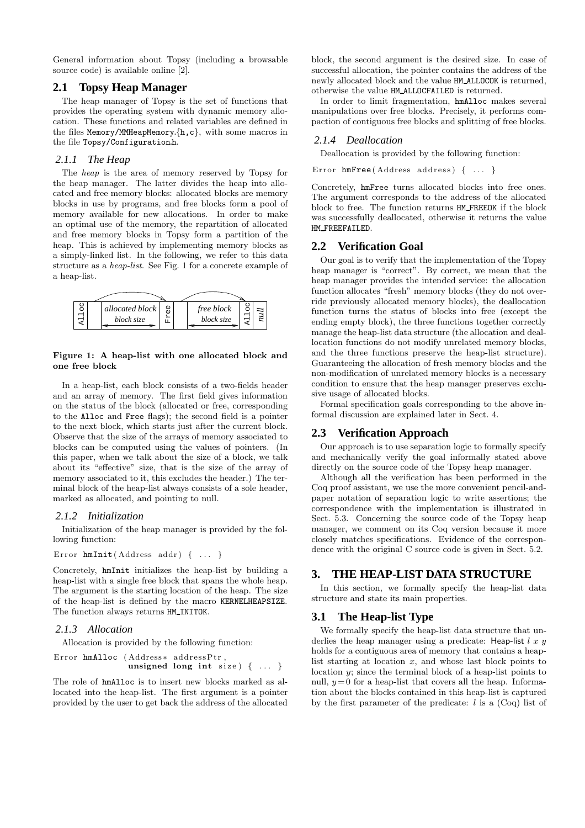General information about Topsy (including a browsable source code) is available online [2].

# **2.1 Topsy Heap Manager**

The heap manager of Topsy is the set of functions that provides the operating system with dynamic memory allocation. These functions and related variables are defined in the files Memory/MMHeapMemory.{h,c}, with some macros in the file Topsy/Configuration.h.

# *2.1.1 The Heap*

The heap is the area of memory reserved by Topsy for the heap manager. The latter divides the heap into allocated and free memory blocks: allocated blocks are memory blocks in use by programs, and free blocks form a pool of memory available for new allocations. In order to make an optimal use of the memory, the repartition of allocated and free memory blocks in Topsy form a partition of the heap. This is achieved by implementing memory blocks as a simply-linked list. In the following, we refer to this data structure as a heap-list. See Fig. 1 for a concrete example of a heap-list.



#### Figure 1: A heap-list with one allocated block and one free block

In a heap-list, each block consists of a two-fields header and an array of memory. The first field gives information on the status of the block (allocated or free, corresponding to the Alloc and Free flags); the second field is a pointer to the next block, which starts just after the current block. Observe that the size of the arrays of memory associated to blocks can be computed using the values of pointers. (In this paper, when we talk about the size of a block, we talk about its "effective" size, that is the size of the array of memory associated to it, this excludes the header.) The terminal block of the heap-list always consists of a sole header, marked as allocated, and pointing to null.

## *2.1.2 Initialization*

Initialization of the heap manager is provided by the following function:

```
Error hmInit (Address addr) { ... }
```
Concretely, hmInit initializes the heap-list by building a heap-list with a single free block that spans the whole heap. The argument is the starting location of the heap. The size of the heap-list is defined by the macro KERNELHEAPSIZE. The function always returns HM INITOK.

## *2.1.3 Allocation*

Allocation is provided by the following function:

```
Error hmAlloc (Address* addressPtr,
                unsigned long int size) \{ \ldots \}
```
The role of hmAlloc is to insert new blocks marked as allocated into the heap-list. The first argument is a pointer provided by the user to get back the address of the allocated

block, the second argument is the desired size. In case of successful allocation, the pointer contains the address of the newly allocated block and the value HM ALLOCOK is returned, otherwise the value HM ALLOCFAILED is returned.

In order to limit fragmentation, hmAlloc makes several manipulations over free blocks. Precisely, it performs compaction of contiguous free blocks and splitting of free blocks.

# *2.1.4 Deallocation*

Deallocation is provided by the following function:

Error  $h$ mFree (Address address) { ... }

Concretely, hmFree turns allocated blocks into free ones. The argument corresponds to the address of the allocated block to free. The function returns HM FREEOK if the block was successfully deallocated, otherwise it returns the value HM FREEFAILED.

# **2.2 Verification Goal**

Our goal is to verify that the implementation of the Topsy heap manager is "correct". By correct, we mean that the heap manager provides the intended service: the allocation function allocates "fresh" memory blocks (they do not override previously allocated memory blocks), the deallocation function turns the status of blocks into free (except the ending empty block), the three functions together correctly manage the heap-list data structure (the allocation and deallocation functions do not modify unrelated memory blocks, and the three functions preserve the heap-list structure). Guaranteeing the allocation of fresh memory blocks and the non-modification of unrelated memory blocks is a necessary condition to ensure that the heap manager preserves exclusive usage of allocated blocks.

Formal specification goals corresponding to the above informal discussion are explained later in Sect. 4.

# **2.3 Verification Approach**

Our approach is to use separation logic to formally specify and mechanically verify the goal informally stated above directly on the source code of the Topsy heap manager.

Although all the verification has been performed in the Coq proof assistant, we use the more convenient pencil-andpaper notation of separation logic to write assertions; the correspondence with the implementation is illustrated in Sect. 5.3. Concerning the source code of the Topsy heap manager, we comment on its Coq version because it more closely matches specifications. Evidence of the correspondence with the original C source code is given in Sect. 5.2.

# **3. THE HEAP-LIST DATA STRUCTURE**

In this section, we formally specify the heap-list data structure and state its main properties.

# **3.1 The Heap-list Type**

We formally specify the heap-list data structure that underlies the heap manager using a predicate: Heap-list  $l x y$ holds for a contiguous area of memory that contains a heaplist starting at location  $x$ , and whose last block points to location y; since the terminal block of a heap-list points to null,  $y = 0$  for a heap-list that covers all the heap. Information about the blocks contained in this heap-list is captured by the first parameter of the predicate:  $l$  is a (Coq) list of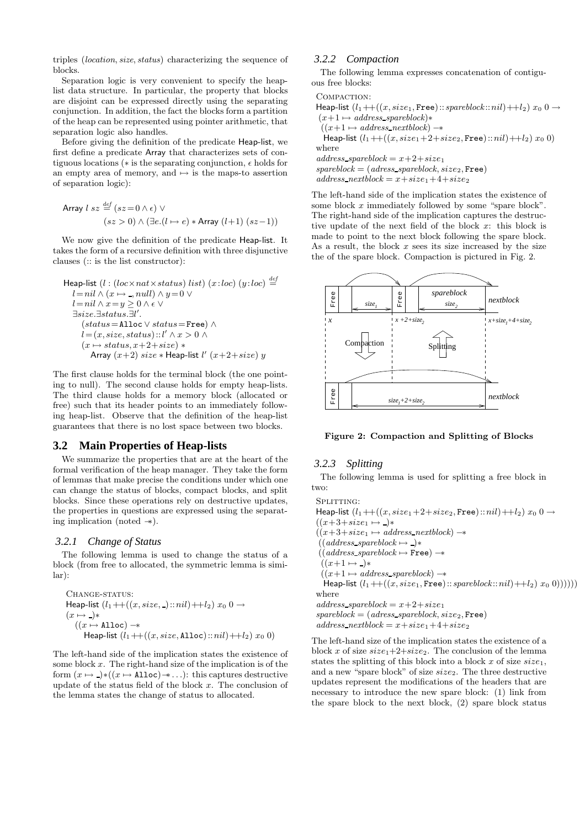triples (location, size, status) characterizing the sequence of blocks.

Separation logic is very convenient to specify the heaplist data structure. In particular, the property that blocks are disjoint can be expressed directly using the separating conjunction. In addition, the fact the blocks form a partition of the heap can be represented using pointer arithmetic, that separation logic also handles.

Before giving the definition of the predicate Heap-list, we first define a predicate Array that characterizes sets of contiguous locations ( $\ast$  is the separating conjunction,  $\epsilon$  holds for an empty area of memory, and  $\mapsto$  is the maps-to assertion of separation logic):

Array 
$$
l
$$
  $sz \stackrel{def}{=} (sz = 0 \land \epsilon) \lor$   
 $(sz > 0) \land (\exists e. (l \mapsto e) * \text{Array } (l+1) (sz-1))$ 

We now give the definition of the predicate Heap-list. It takes the form of a recursive definition with three disjunctive clauses (:: is the list constructor):

```
Heap-list (l:(loc \times nat \times status) list) (x:loc) (y:loc) \stackrel{def}{=}l = nil \wedge (x \mapsto \_, null) \wedge y = 0 \veel = nil ∧ x = y ≥ 0 ∧ ε ∨∃size.∃status.∃l
0
.
     (status=Alloc \vee status=Free) ∧
      \hat{l} = (x, size, status) :: l' \wedge x > 0 \wedge(x \mapsto status, x+2+size) *
        Array (x+2) size * Heap-list l' (x+2+size) y
```
The first clause holds for the terminal block (the one pointing to null). The second clause holds for empty heap-lists. The third clause holds for a memory block (allocated or free) such that its header points to an immediately following heap-list. Observe that the definition of the heap-list guarantees that there is no lost space between two blocks.

## **3.2 Main Properties of Heap-lists**

We summarize the properties that are at the heart of the formal verification of the heap manager. They take the form of lemmas that make precise the conditions under which one can change the status of blocks, compact blocks, and split blocks. Since these operations rely on destructive updates, the properties in questions are expressed using the separating implication (noted −∗).

#### *3.2.1 Change of Status*

The following lemma is used to change the status of a block (from free to allocated, the symmetric lemma is similar):

```
CHANGE-STATUS:
Heap-list (l_1 + (x, size, ⋅) :: nil) + l_2) x_0 0 →(x \mapsto \_)*((x \mapsto \texttt{Alloc}) \rightarrowHeap-list (l_1 + ((x, size, \texttt{Alice}) :: nil) + l_2) x_0 0)
```
The left-hand side of the implication states the existence of some block  $x$ . The right-hand size of the implication is of the form  $(x \mapsto \neg)(x \mapsto \text{Alice}) \rightarrow \dots$ : this captures destructive update of the status field of the block  $x$ . The conclusion of the lemma states the change of status to allocated.

# *3.2.2 Compaction*

The following lemma expresses concatenation of contiguous free blocks:

Compaction:

Heap-list  $(l_1 + ((x, size_1, Free) :: spareblock :: nil) + l_2) x_0 0 \rightarrow$  $(x+1 \mapsto address\_spareblock)*$  $((x+1 \rightarrow address\_nextblock) \rightarrow$ Heap-list  $(l_1 + ((x, size_1 + 2 + size_2, Free) :: nil) + l_2) x_0$  0) where  $address\_spareblock = x+2+size_1$  $spareblock = (adress\_spareblock, size_2, Free)$  $address\_nextblock = x + size_1 + 4 + size_2$ 

The left-hand side of the implication states the existence of some block  $x$  immediately followed by some "spare block". The right-hand side of the implication captures the destructive update of the next field of the block x: this block is made to point to the next block following the spare block. As a result, the block  $x$  sees its size increased by the size the of the spare block. Compaction is pictured in Fig. 2.



Figure 2: Compaction and Splitting of Blocks

# *3.2.3 Splitting*

The following lemma is used for splitting a free block in two:

SPLITTING: Heap-list  $(l_1 + ((x, size_1 + 2 + size_2, Free) :: nil) + l_2) x_0 0 \rightarrow$  $((x+3+size_1 \mapsto \_)*$  $((x+3+size_1 \mapsto address\_nextblock) \rightarrow$  $((address\_spareblock \mapsto \_)$ \*  $((address\_spareblock \mapsto \texttt{Free}) \rightarrow$  $((x+1 \mapsto \ )\ast$  $((x+1 \rightarrow address\_spareblock) \rightarrow$ Heap-list  $(l_1+((x, size_1, Free)::spareblock::nil)+l_2) x_0 0))))))$ where  $address\_spareblock = x+2+size_1$  $spareblock = (adress\_spareblock, size_2, Free)$  $address\_nextblock = x + size_1 + 4 + size_2$ 

The left-hand size of the implication states the existence of a block x of size  $size_1+2+size_2$ . The conclusion of the lemma states the splitting of this block into a block x of size  $size_1$ , and a new "spare block" of size  $size_2$ . The three destructive updates represent the modifications of the headers that are necessary to introduce the new spare block: (1) link from the spare block to the next block, (2) spare block status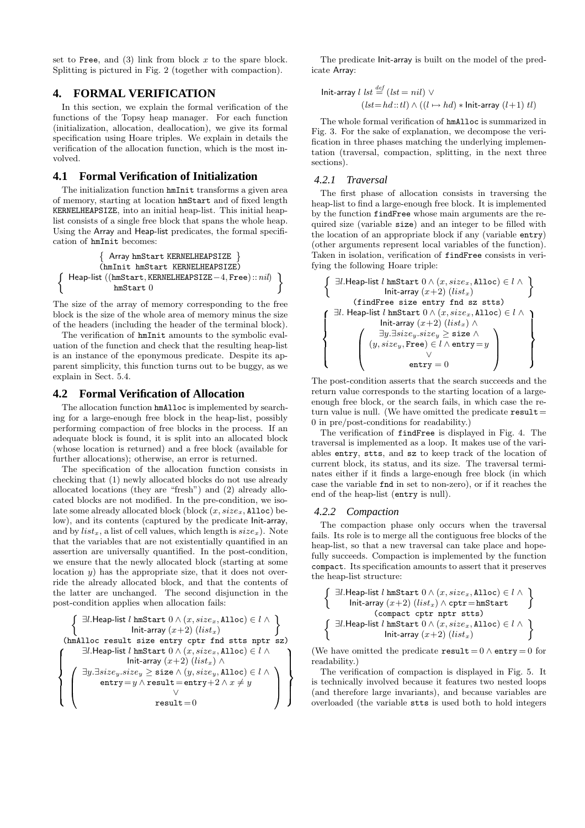set to Free, and  $(3)$  link from block x to the spare block. Splitting is pictured in Fig. 2 (together with compaction).

# **4. FORMAL VERIFICATION**

In this section, we explain the formal verification of the functions of the Topsy heap manager. For each function (initialization, allocation, deallocation), we give its formal specification using Hoare triples. We explain in details the verification of the allocation function, which is the most involved.

## **4.1 Formal Verification of Initialization**

The initialization function hmInit transforms a given area of memory, starting at location hmStart and of fixed length KERNELHEAPSIZE, into an initial heap-list. This initial heaplist consists of a single free block that spans the whole heap. Using the Array and Heap-list predicates, the formal specification of hmInit becomes:

 Array hmStart KERNELHEAPSIZE (hmInit hmStart KERNELHEAPSIZE) Heap-list ((hmStart, KERNELHEAPSIZE−4, Free) ::nil) hmStart 0

The size of the array of memory corresponding to the free block is the size of the whole area of memory minus the size of the headers (including the header of the terminal block).

The verification of hmInit amounts to the symbolic evaluation of the function and check that the resulting heap-list is an instance of the eponymous predicate. Despite its apparent simplicity, this function turns out to be buggy, as we explain in Sect. 5.4.

#### **4.2 Formal Verification of Allocation**

 $\left\{ \right.$ 

The allocation function hmAlloc is implemented by searching for a large-enough free block in the heap-list, possibly performing compaction of free blocks in the process. If an adequate block is found, it is split into an allocated block (whose location is returned) and a free block (available for further allocations); otherwise, an error is returned.

The specification of the allocation function consists in checking that (1) newly allocated blocks do not use already allocated locations (they are "fresh") and (2) already allocated blocks are not modified. In the pre-condition, we isolate some already allocated block (block  $(x, size_x, \texttt{Alloc})$  below), and its contents (captured by the predicate Init-array, and by  $list_x$ , a list of cell values, which length is  $size_x$ ). Note that the variables that are not existentially quantified in an assertion are universally quantified. In the post-condition, we ensure that the newly allocated block (starting at some location  $y$ ) has the appropriate size, that it does not override the already allocated block, and that the contents of the latter are unchanged. The second disjunction in the post-condition applies when allocation fails:

∃l.Heap-list l hmStart 0 ∧ (x, sizex, Alloc) ∈ l ∧ Init-array (x+2) (listx) (hmAlloc result size entry cptr fnd stts nptr sz) ∃l.Heap-list l hmStart 0 ∧ (x, sizex, Alloc) ∈ l ∧ Init-array (x+2) (listx) ∧ ∃y.∃sizey.size<sup>y</sup> ≥ size ∧ (y, sizey, Alloc) ∈ l ∧ entry=y ∧ result =entry+2 ∧ x 6= y ∨ result =0 

The predicate Init-array is built on the model of the predicate Array:

$$
\begin{aligned} \text{Init-array } l \; & \; l \; \text{st} \stackrel{\text{def}}{=} \left( \text{lst} = \text{nil} \right) \; \vee \\ & \left( \text{lst} = \text{hd} :: \text{tl} \right) \land \left( \left( l \mapsto \text{hd} \right) * \text{Init-array} \left( l+1 \right) \text{tl} \right) \end{aligned}
$$

The whole formal verification of hmAlloc is summarized in Fig. 3. For the sake of explanation, we decompose the verification in three phases matching the underlying implementation (traversal, compaction, splitting, in the next three sections).

#### *4.2.1 Traversal*

The first phase of allocation consists in traversing the heap-list to find a large-enough free block. It is implemented by the function findFree whose main arguments are the required size (variable size) and an integer to be filled with the location of an appropriate block if any (variable entry) (other arguments represent local variables of the function). Taken in isolation, verification of findFree consists in verifying the following Hoare triple:

$$
\left\{\begin{array}{c}\exists l.\mathsf{Heap-list}\ l\ \mathtt{lmStart}\ 0 \wedge (x, size_x, \mathtt{Alice}) \in l \wedge \\\hspace{1.5cm}\mathsf{Init-array}\ (x+2)\ (list_x)\end{array}\right\}
$$
\n
$$
\left\{\begin{array}{c}\exists l.\ \mathsf{Heap-list}\ l\ \mathtt{lmStart}\ 0 \wedge (x, size_x, \mathtt{Alice}) \in l \wedge \\\hspace{1.5cm}\mathsf{Init-array}\ (x+2)\ (list_x) \wedge \\\hspace{1.5cm}\mathsf{Init-array}\ (x+2)\ (list_x) \wedge \\\hspace{1.5cm}\exists y.\exists size_y.size_y \geq \mathtt{size} \wedge \\\hspace{1.5cm}\left(\begin{array}{c} \exists y.\exists size_y, \mathsf{size}\neq \geq \mathtt{size} \wedge \\\hspace{1.5cm}\mathsf{w}{\mathsf{entry}}=0\end{array}\right)\end{array}\right\}
$$

The post-condition asserts that the search succeeds and the return value corresponds to the starting location of a largeenough free block, or the search fails, in which case the return value is null. (We have omitted the predicate  $result =$ 0 in pre/post-conditions for readability.)

The verification of findFree is displayed in Fig. 4. The traversal is implemented as a loop. It makes use of the variables entry, stts, and sz to keep track of the location of current block, its status, and its size. The traversal terminates either if it finds a large-enough free block (in which case the variable fnd in set to non-zero), or if it reaches the end of the heap-list (entry is null).

#### *4.2.2 Compaction*

The compaction phase only occurs when the traversal fails. Its role is to merge all the contiguous free blocks of the heap-list, so that a new traversal can take place and hopefully succeeds. Compaction is implemented by the function compact. Its specification amounts to assert that it preserves the heap-list structure:

∃l.Heap-list l hmStart 0 ∧ (x, sizex, Alloc) ∈ l ∧ Init-array (x+2) (listx) ∧ cptr=hmStart (compact cptr nptr stts) ∃l.Heap-list l hmStart 0 ∧ (x, sizex, Alloc) ∈ l ∧ Init-array (x+2) (listx)

 readability.) (We have omitted the predicate result =  $0 \wedge$  entry = 0 for

 (and therefore large invariants), and because variables are overloaded (the variable stts is used both to hold integersThe verification of compaction is displayed in Fig. 5. It is technically involved because it features two nested loops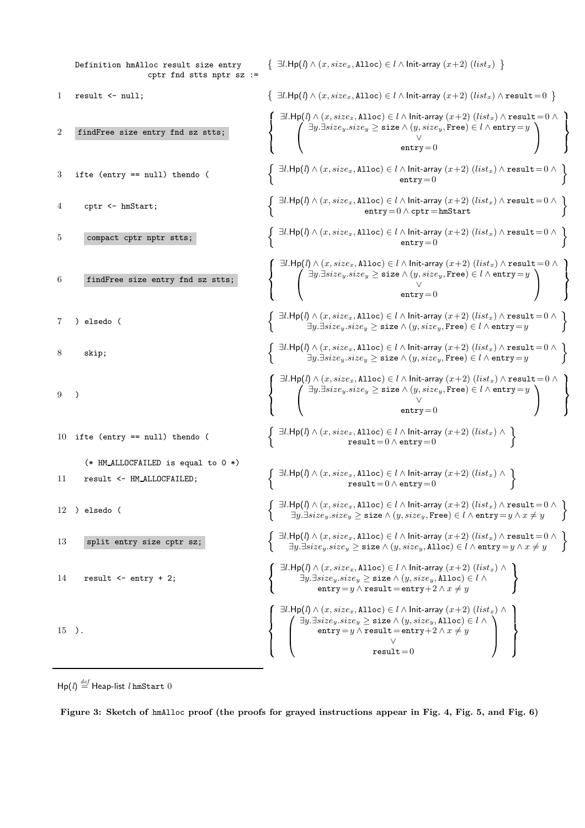Definition hmAlloc result size entry  $\{ \exists l.$ Hp(l)  $\land$   $(x, size_x,$  Alloc)  $\in$  l  $\land$  Init-array  $(x+2)$  (list<sub>x</sub>)  $\}$ cptr fnd stts nptr sz := 1 result <- null;  $\{ \exists l. Hp(l) \wedge (x, size_x, \text{Alloc}) \in l \wedge \text{Init-array} (x+2) (list_x) \wedge \text{result} = 0 \}$ 2 findFree size entry fnd sz stts;  $\textsf{ }\bigcap\limits_{}^{\tilde{}}\exists l.\mathsf{Hp}(l)\land(x, size_x,\mathtt{Alloc})\in l\land\mathsf{Init-array}\left(x+2\right)(list_x)\land\mathtt{result}\mathop{=0}\land$ the contract of the contract of the contract of the contract of the contract of  $\bigwedge \exists y . \exists size_y.size_y \geq \texttt{size} \land (y, size_y, \texttt{Free}) \in l \land \texttt{entry} = y$ ∨  $entry = 0$   $\sim$   $\sim$ and the contract of the contract of the contract of the contract of the contract of the contract of the contract of  $\sim$   $\sim$  and the contract of the contract of the contract of  $3$  ifte (entry == null) thendo (  $\exists l.\mathsf{Hp}(l) \land (x, size_x, \mathtt{Alloc}) \in l \land \mathsf{Init} \text{-}array\ (x+2)\ (list_x) \land \mathtt{result} = 0 \land$  $entry=0$ 4 cptr <- hmStart;  $\exists l.\mathsf{Hp}(l) \land (x, size_x, \mathtt{Alloc}) \in l \land \mathsf{Init} \text{-} \mathtt{array}~(x+2)~(list_x) \land \mathtt{result} = 0 \land$  $entry=0 \wedge \text{cptr} = \text{hmStart}$ 5 compact cptr nptr stts;  $\exists l.\mathsf{Hp}(l) \land (x, size_x, \mathtt{Alloc}) \in l \land \mathsf{Init\text{-}array}~(x+2)~(list_x) \land \mathtt{result} = 0 \land$  $entry = 0$ 6 findFree size entry fnd sz stts;  $\textsf{f}$   $\exists l.\mathsf{Hp}(l) \land (x, size_x, \mathtt{Alice}) \in l \land \mathsf{Init}\text{-}array\ (x+2)\ (list_x) \land \mathtt{result} = 0 \land \emptyset$ the contract of the contract of the contract of the contract of the contract of  $\bigwedge \exists y . \exists size_y.size_y \geq \texttt{size} \land (y, size_y, \texttt{Free}) \in l \land \texttt{entry} = y$ ∨  $entry = 0$   $\sim$   $\sim$ and the contract of the contract of the contract of the contract of the contract of the contract of the contract of  $\overline{\phantom{a}}$  and the contract of the contract of the contract of  $7$  ) elsedo (  $\exists l.\mathsf{Hp}(l) \land (x, size_x, \mathtt{Alloc}) \in l \land \mathsf{Init\text{-}array}~(x+2)~(list_x) \land \mathtt{result} = 0 \land$ ∃y.∃size<sub>y</sub>.size<sub>y</sub> ≥ size  $\land$  (y, size<sub>y</sub>, Free)  $\in$  *l*  $\land$  entry=y 8 skip;  $\exists l.\mathsf{Hp}(l) \land (x, size_x, \mathtt{Alloc}) \in l \land \mathsf{Init} \text{-} \mathtt{array}~(x+2)~(list_x) \land \mathtt{result} = 0 \land$  $\exists y. \exists size_y.size_y \geq \texttt{size} \land (y, size_y, \texttt{Free}) \in l \land \texttt{entry} = y$ 9 ) and the contract of the contract of  $\big(\begin{array}{c}\exists l.\mathsf{Hp}(l)\land(x, size_x,\mathtt{Alloc})\in l\land\mathsf{Init-array}\ (x+2)\ (list_x)\land\mathtt{result}=0\land\ \end{array}$ the contract of the contract of the contract of the contract of the contract of the contract of the contract of  $\bigwedge \exists y . \exists size_y.size_y \geq \texttt{size} \land (y, size_y, \texttt{Free}) \in l \land \texttt{entry} = y$ ∨  $entry = 0$  and the contract of the contract of the contract of the contract of the contract of the contract of the contract of  $\sim$   $\sim$  and the contract of the contract of the contract of 10 ifte (entry  $==$  null) thendo (  $\exists l.\mathsf{Hp}(l) \land (x, size_x, \mathtt{Alloc}) \in l \land \mathsf{Init-array} (x+2)$   $(list_x) \land$  $result = 0 \wedge entry = 0$ (\* HM ALLOCFAILED is equal to 0 \*) 11 result <- HM\_ALLOCFAILED;  $\exists l.\mathsf{Hp}(l) \land (x, size_x, \mathtt{Alice}) \in l \land \mathsf{Init-array} (x+2)$   $(list_x) \land \exists l.\mathsf{Hp}(l) \land (x, size_x, \mathtt{Alice}) \in l \land \mathsf{Init-array}$  $result = 0 \wedge entry = 0$  $12$  ) elsedo (  $\exists l.\mathsf{Hp}(l) \land (x, size_x, \mathtt{Alloc}) \in l \land \mathsf{Init\text{-}array}~(x+2)~(list_x) \land \mathtt{result} = 0 \land$  $\exists y.\exists size_y.size_y \geq \texttt{size} \land (y, size_y, \texttt{Free}) \in l \land \texttt{entry} = y \land x \neq y$ 13 split entry size cptr sz;  $\exists l.\mathsf{Hp}(l) \land (x, size_x, \mathtt{Alloc}) \in l \land \mathsf{Init\text{-}array}~(x+2)~(list_x) \land \mathtt{result} = 0 \land$  $\exists y.\exists size_y.size_y \geq \texttt{size} \land (y, size_y, \texttt{Alice}) \in l \land \texttt{entry} = y \land x \neq y$ 14 result <- entry + 2;  $\int$  ∃l.Hp(l)  $\wedge$   $(x, size_x,$  Alloc)  $\in$  l $\wedge$  Init-array  $(x+2)$   $(list_x)$   $\wedge$  $\exists y . \exists size_y.size_y \geq \texttt{size} \land (y, size_y, \texttt{Alloc}) \in l \land w$ entry = y  $\land$  result = entry + 2  $\land$   $x \neq y$   $15$  ).  $\bigcap$  ∃l. $\mathsf{Hp}(l) \land (x, size_x, \mathtt{Alloc}) \in l \land$  Init-array  $(x+2)$   $(list_x) \land$  and the contract of the contract of the contract of the contract of  $\bigwedge \exists y . \exists size_y.size_y \geq \texttt{size} \land (y, size_y, \texttt{Alloc}) \in l \land$  $\texttt{entry}\!=\!y\wedge \texttt{result}\!=\!\texttt{entry}\!+\!2\wedge x\neq y$ ∨  $result = 0$  $\sum_{i=1}^n a_i$   $\mathbf{r}$  the contract of the contract of the contract of and the contract of the contract of the contract of the contract of the contract of the contract of the contract of  $\overline{\phantom{a}}$  the contract of the contract of the contract of the contract of the contract of the contract of the contract of

 $\mathsf{Hp}(l) \stackrel{def}{=} \mathsf{Heap}\text{-}\mathsf{list}\ l\ \mathsf{hmStart}\ 0$ 

Figure 3: Sketch of hmAlloc proof (the proofs for grayed instructions appear in Fig. 4, Fig. 5, and Fig. 6)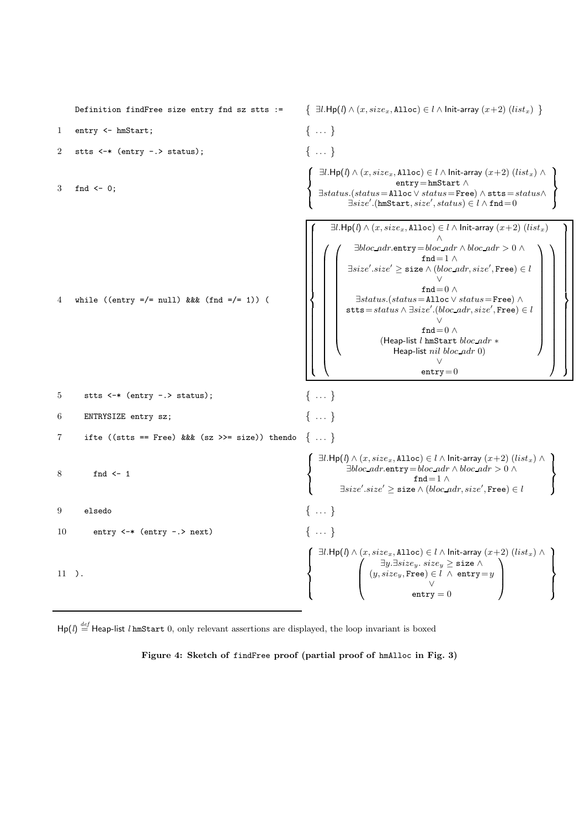

 $\text{Hp}(l) \stackrel{\text{def}}{=} \text{Heap-list } l \text{ hmsStart } 0, \text{ only relevant assertions are displayed, the loop invariant is boxed}$ 

Figure 4: Sketch of findFree proof (partial proof of hmAlloc in Fig. 3)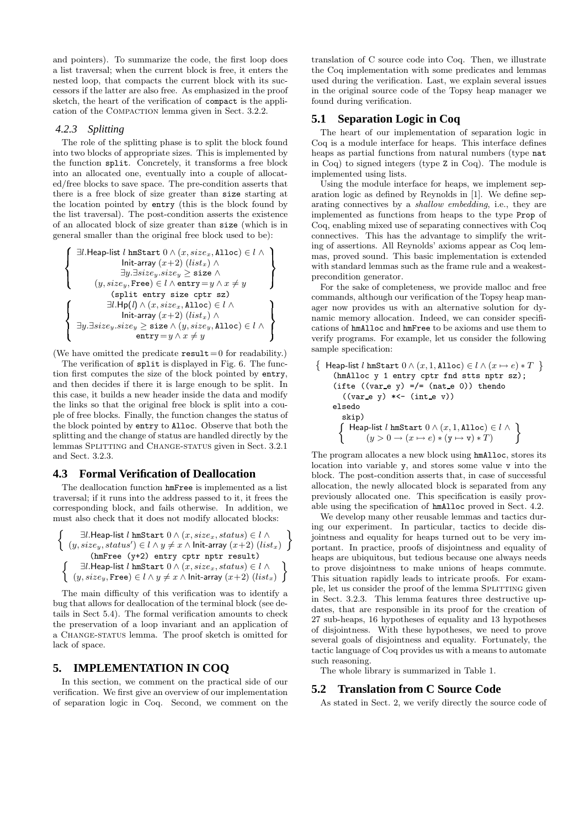and pointers). To summarize the code, the first loop does a list traversal; when the current block is free, it enters the nested loop, that compacts the current block with its successors if the latter are also free. As emphasized in the proof sketch, the heart of the verification of compact is the application of the COMPACTION lemma given in Sect. 3.2.2.

## *4.2.3 Splitting*

The role of the splitting phase is to split the block found into two blocks of appropriate sizes. This is implemented by the function split. Concretely, it transforms a free block into an allocated one, eventually into a couple of allocated/free blocks to save space. The pre-condition asserts that there is a free block of size greater than size starting at the location pointed by entry (this is the block found by the list traversal). The post-condition asserts the existence of an allocated block of size greater than size (which is in general smaller than the original free block used to be):

$$
\left\{\begin{array}{l} \exists l.\mathsf{Heap-list}\ l\ \mathsf{lmStart}\ 0 \wedge (x, size_x, \mathsf{Alice}) \in l \wedge \\\hspace{1em}\text{Init-array}\ (x+2)\ (list_x) \wedge \\\hspace{1em}\exists y. \exists size_y.size_y \geq \texttt{size} \wedge \\\hspace{1em}\text{(y, size_y, Free)} \in l \wedge \texttt{entry} = y \wedge x \neq y \\\hspace{1em}\text{(split entry size cptr sz)} \\\hspace{1em}\exists l.\mathsf{Hp}(l) \wedge (x, size_x, \mathsf{Alice}) \in l \wedge \\\hspace{1em}\text{Init-array}\ (x+2)\ (list_x) \wedge \\\hspace{1em}\text{Init-array}\ (x+2)\ (list_x) \wedge \\\hspace{1em}\text{entry} = y \wedge x \neq y \\\end{array}\right\}
$$

(We have omitted the predicate  $result = 0$  for readability.)

The verification of split is displayed in Fig. 6. The function first computes the size of the block pointed by entry, and then decides if there it is large enough to be split. In this case, it builds a new header inside the data and modify the links so that the original free block is split into a couple of free blocks. Finally, the function changes the status of the block pointed by entry to Alloc. Observe that both the splitting and the change of status are handled directly by the lemmas SPLITTING and CHANGE-STATUS given in Sect. 3.2.1 and Sect. 3.2.3.

#### **4.3 Formal Verification of Deallocation**

The deallocation function hmFree is implemented as a list traversal; if it runs into the address passed to it, it frees the corresponding block, and fails otherwise. In addition, we must also check that it does not modify allocated blocks:

∃l.Heap-list l hmStart 0 ∧ (x, sizex, status) ∈ l ∧ (y, sizey, status<sup>0</sup> ) ∈ l ∧ y 6= x ∧ Init-array (x+2) (listx) (hmFree (y+2) entry cptr nptr result) ∃l.Heap-list l hmStart 0 ∧ (x, sizex, status) ∈ l ∧ (y, sizey, Free) ∈ l ∧ y 6= x ∧ Init-array (x+2) (listx)

The main difficulty of this verification was to identify a bug that allows for deallocation of the terminal block (see details in Sect 5.4). The formal verification amounts to check the preservation of a loop invariant and an application of a Change-status lemma. The proof sketch is omitted for lack of space.

# **5. IMPLEMENTATION IN COQ**

 $\big\{$ 

In this section, we comment on the practical side of our verification. We first give an overview of our implementation of separation logic in Coq. Second, we comment on the

translation of C source code into Coq. Then, we illustrate the Coq implementation with some predicates and lemmas used during the verification. Last, we explain several issues in the original source code of the Topsy heap manager we found during verification.

# **5.1 Separation Logic in Coq**

The heart of our implementation of separation logic in Coq is a module interface for heaps. This interface defines heaps as partial functions from natural numbers (type nat in Coq) to signed integers (type Z in Coq). The module is implemented using lists.

Using the module interface for heaps, we implement separation logic as defined by Reynolds in [1]. We define separating connectives by a shallow embedding, i.e., they are implemented as functions from heaps to the type Prop of Coq, enabling mixed use of separating connectives with Coq connectives. This has the advantage to simplify the writing of assertions. All Reynolds' axioms appear as Coq lemmas, proved sound. This basic implementation is extended with standard lemmas such as the frame rule and a weakestprecondition generator.

For the sake of completeness, we provide malloc and free commands, although our verification of the Topsy heap manager now provides us with an alternative solution for dynamic memory allocation. Indeed, we can consider specifications of hmAlloc and hmFree to be axioms and use them to verify programs. For example, let us consider the following sample specification:

 $\{$  Heap-list  $l$  hmStart  $0 \wedge (x, 1, \texttt{Alloc}) \in l \wedge (x \mapsto e) * T$   $\}$ (hmAlloc y 1 entry cptr fnd stts nptr sz); (ifte  $((var_e y) = / = (nat_e 0))$  thendo  $((var_e y) * \leftarrow (int_e v))$ elsedo skip) Heap-list  $l$  hmStart  $0 \wedge (x, 1, \texttt{Alice}) \in l \wedge$  $(y > 0 \rightarrow (x \mapsto e) * (y \mapsto v) * T)$ 

The program allocates a new block using hmAlloc, stores its location into variable y, and stores some value v into the block. The post-condition asserts that, in case of successful allocation, the newly allocated block is separated from any previously allocated one. This specification is easily provable using the specification of hmAlloc proved in Sect. 4.2.

We develop many other reusable lemmas and tactics during our experiment. In particular, tactics to decide disjointness and equality for heaps turned out to be very important. In practice, proofs of disjointness and equality of heaps are ubiquitous, but tedious because one always needs to prove disjointness to make unions of heaps commute. This situation rapidly leads to intricate proofs. For example, let us consider the proof of the lemma SPLITTING given in Sect. 3.2.3. This lemma features three destructive updates, that are responsible in its proof for the creation of 27 sub-heaps, 16 hypotheses of equality and 13 hypotheses of disjointness. With these hypotheses, we need to prove several goals of disjointness and equality. Fortunately, the tactic language of Coq provides us with a means to automate such reasoning.

The whole library is summarized in Table 1.

#### **5.2 Translation from C Source Code**

As stated in Sect. 2, we verify directly the source code of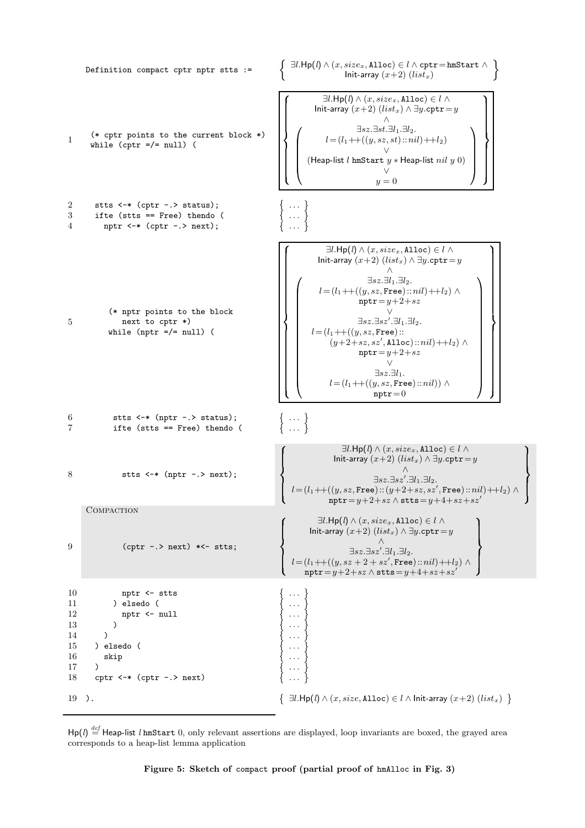

 $\textsf{Hp}(l) \stackrel{\textit{def}}{=} \textsf{Heap-list}\ l\ \textsf{lmStart}\ 0, \ \textit{only relevant assertions are displayed}, \ \textit{loop invariants are boxed}, \ \textit{the grayed area}$ corresponds to a heap-list lemma application

Figure 5: Sketch of compact proof (partial proof of hmAlloc in Fig. 3)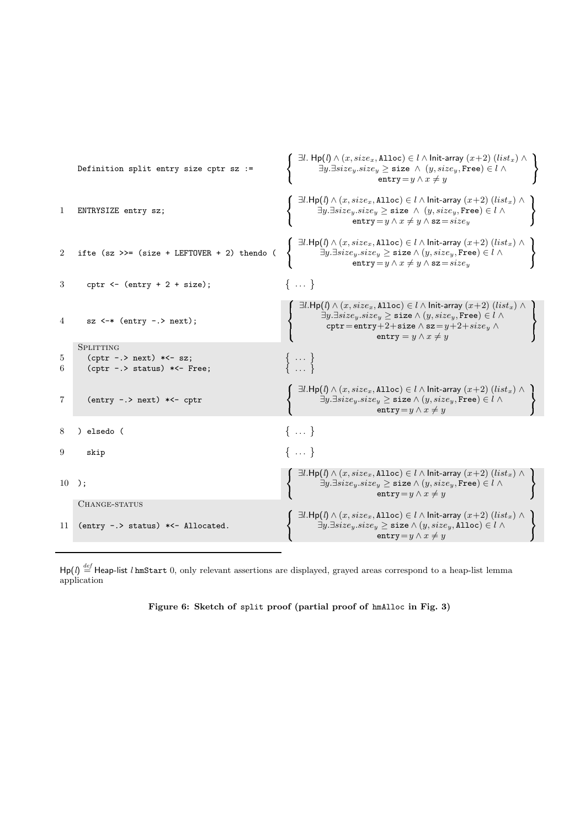```
Definition split entry size cptr sz :=
                                                                                                           \bigcap ∃l. Hp(l) \wedge (x, size_x, Alloc) \in l\wedge Init-array (x+2) (list_x) \wedge
                                                                                                                         ∃y.∃size<sub>y</sub>.size<sub>y</sub> \geq size \land (y, size<sub>y</sub>, Free) \in l \landentry = y \wedge x \neq y
1 ENTRYSIZE entry sz;
                                                                                                           \int ∃l.Hp(l) \wedge (x, size_x, Alloc) \in l\wedge Init-array (x+2) (list<sub>x</sub>) \wedge\exists y . \exists size_y.size_y \geq \texttt{size}~ \wedge~ (y, size_y, \texttt{Free}) \in l ~ \wedge\texttt{entry} = y \land x \neq y \land \texttt{sz} = size_y\blacksquare . The contract of the contract of the contract of the contract of the contract of the contract of the contract of the contract of the contract of the contract of the contract of the contract of the contract of the 

2 ifte (sz \gg = (size + LEFTOVER + 2) thendo (
                                                                                                           \int ∃l.Hp(l) \wedge (x, size_x, Alloc) \in l\wedge Init-array (x+2) (list_x) \wedge
                                                                                                                          ∃y.∃size<sub>y</sub>.size<sub>y</sub> ≥ size \land (y, size<sub>y</sub>, Free) ∈ l \land\texttt{entry} = y \land x \neq y \land \texttt{sz} = size_y\mathcal{L} = \{1, 2, \ldots, n\}and the contract of the contract of the contract of the contract of the contract of the contract of the contract of
3 cptr \leftarrow (entry + 2 + size);
                                                                                                          \{... \}4 sz <-* (entry -.> next);
                                                                                                            \bigcap ∃l.<code>Hp(l)</code> \land (x, size_x, <code>Alloc</code>) \in l \land <code>Init-array</code> (x+2) (list_x) \landand the contract of the contract of the contract of the contract of the contract of the contract of the contract of
                                                                                                            and the contract of the contract of the contract of the contract of the contract of the contract of the contract of
                                                                                                                          ∃y.∃sizey.sizey ≥ size ∧ (y, sizey, Free) ∈ l ∧
                                                                                                                            cptr=entry+2+size \wedge sz=y+2+size_y \wedgeentry = y \wedge x \neq y

                                                                                                                                                                                                                              \sim. .
                                                                                                                                                                                                                              the contract of the contract of the contract of the contract of the contract of
        SPLITTING
5 (cptr -.> next) *<- sz; 
                                                                                                               . . . 
6 (cptr -.> status) *<- Free;
                                                                                                              . . . 
7 (entry -.> next) *<- cptr
                                                                                                           \int ∃l.Hp(l) \wedge (x, size_x, Alloc) \in l\wedge Init-array (x+2) (list<sub>x</sub>) \wedge
                                                                                                                          ∃y.∃size_y.size_y \geq size \land (y, size_y, \texttt{Free}) \in l \landentry=y \wedge x \neq y
                                                                                                                                                                                                                             and the contract of the contract of the contract of the contract of the contract of the contract of the contract of
8 ) elsedo ( 
                                                                                                          \{... \}9 skip \{ \dots \}10 );
                                                                                                           \int ∃l.Hp(l) \wedge (x, size_x, Alloc) \in l\wedge Init-array (x+2) (list_x) \wedgeand the contract of the contract of the contract of the contract of the contract of the contract of the contract of
                                                                                                                          \exists y . \exists size_y.size_y \geq \texttt{size} \land (y, size_y, \texttt{Free}) \in l \; \landentry=y \wedge x \neq y
                                                                                                                                                                                                                             and the contract of the contract of the contract of the contract of the contract of
         CHANGE-STATUS
11 (entry -.> status) *<- Allocated.
                                                                                                           \int ∃l.Hp(l) \wedge (x, size_x, Alloc) \in l\wedge Init-array (x+2) (list_x) \wedge∃y.∃size_y.size_y \geq size ∧ (y, size_y, Alloc) ∈ l ∧entry = y \wedge x \neq y
                                                                                                                                                                                                                             and the contract of the contract of the contract of the contract of the contract of the contract of the contract of
```
 $\blacksquare$  . The contract of the contract of the contract of the contract of the contract of the contract of the contract of the contract of the contract of the contract of the contract of the contract of the contract of the

```
{\sf Hp}(l) \stackrel{\rm def}{=} {\sf Heap-list}\ l\ {\tt hmStart}\ 0, only relevant assertions are displayed, grayed areas correspond to a heap-list lemma
application
```

```
Figure 6: Sketch of split proof (partial proof of hmAlloc in Fig. 3)
```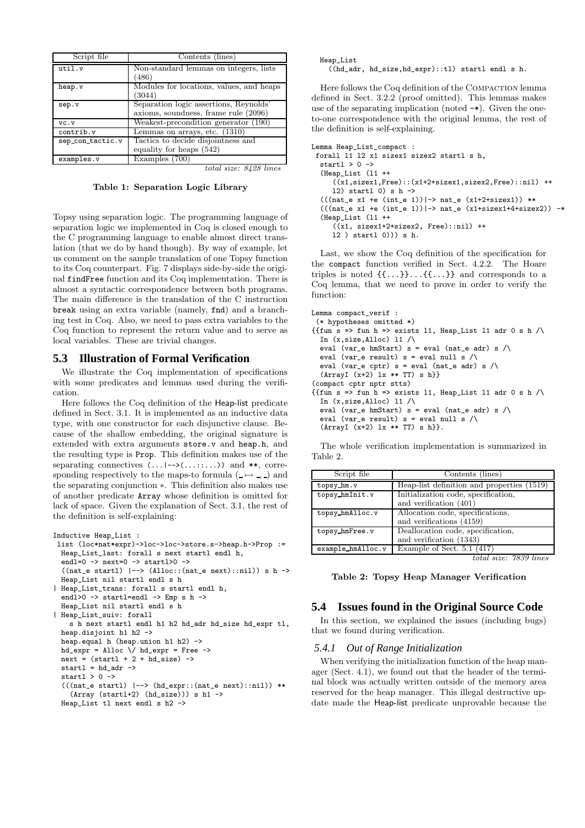| Script file      | Contents (lines)                                                               |
|------------------|--------------------------------------------------------------------------------|
| util.v           | Non-standard lemmas on integers, lists<br>(486)                                |
| heap.v           | Modules for locations, values, and heaps<br>(3044)                             |
| sep.v            | Separation logic assertions, Reynolds'<br>axioms, soundness, frame rule (2096) |
| VC. V            | Weakest-precondition generator (190)                                           |
| contrib.v        | Lemmas on arrays, etc. (1310)                                                  |
| sep_con_tactic.v | Tactics to decide disjointness and<br>equality for heaps (542)                 |
| examples.v       | Examples (700)                                                                 |
|                  | total size: 8428 lines                                                         |

Table 1: Separation Logic Library

Topsy using separation logic. The programming language of separation logic we implemented in Coq is closed enough to the C programming language to enable almost direct translation (that we do by hand though). By way of example, let us comment on the sample translation of one Topsy function to its Coq counterpart. Fig. 7 displays side-by-side the original findFree function and its Coq implementation. There is almost a syntactic correspondence between both programs. The main difference is the translation of the C instruction break using an extra variable (namely, fnd) and a branching test in Coq. Also, we need to pass extra variables to the Coq function to represent the return value and to serve as local variables. These are trivial changes.

#### **5.3 Illustration of Formal Verification**

We illustrate the Coq implementation of specifications with some predicates and lemmas used during the verification.

Here follows the Coq definition of the Heap-list predicate defined in Sect. 3.1. It is implemented as an inductive data type, with one constructor for each disjunctive clause. Because of the shallow embedding, the original signature is extended with extra arguments store.v and heap.h, and the resulting type is Prop. This definition makes use of the separating connectives  $(\ldots \mid \rightarrow)(\ldots \ldots \ldots))$  and \*\*, corresponding respectively to the maps-to formula ( $\rightarrow$ ,) and the separating conjunction ∗. This definition also makes use of another predicate Array whose definition is omitted for lack of space. Given the explanation of Sect. 3.1, the rest of the definition is self-explaining:

```
Inductive Heap_List :
 list (loc*nat*expr)->loc->loc->store.s->heap.h->Prop :=
  Heap List last: forall s next startl endl h,
  endl=0 \rightarrow next=0 \rightarrow startl>0 \rightarrow((nat_e start1) |-> (Alice::(nat_e next)::ni1)) s h ->Heap_List nil startl endl s h
| Heap List trans: forall s startl endl h,
  endl>0 -> startl=endl -> Emp s h ->
  Heap_List nil startl endl s h
| Heap_List_suiv: forall
    s h next startl endl h1 h2 hd_adr hd_size hd_expr tl,
  heap.disjoint h1 h2 ->
  heap.equal h (heap.union h1 h2) ->
  hd\_expr = Alloc \setminus hd\_expr = Free ->
  next = (start1 + 2 + hd_size) ->
  startl = hd adr ->
  startl > 0 ->
  (((nat_e start1) | --) (hd_{expr}::(nat_e next)::ni1)) **
    (Array (start1+2) (hd_size)) s h1 ->
  Heap_List tl next endl s h2 ->
```
Heap\_List

((hd\_adr, hd\_size,hd\_expr)::tl) startl endl s h.

Here follows the Coq definition of the COMPACTION lemma defined in Sect. 3.2.2 (proof omitted). This lemmas makes use of the separating implication (noted -\*). Given the oneto-one correspondence with the original lemma, the rest of the definition is self-explaining.

```
Lemma Heap_List_compact :
  forall l1 l2 x1 sizex1 sizex2 startl s h,
    startl > 0 ->
     (Heap_List (l1 ++
           (\bar{x}_1, \bar{x}_2, \bar{x}_3, \bar{x}_4, \bar{x}_5, \bar{x}_6, \bar{x}_7, \bar{x}_7, \bar{x}_8, \bar{x}_7, \bar{x}_8, \bar{x}_9, \bar{x}_9, \bar{x}_9, \bar{x}_9, \bar{x}_9, \bar{x}_9, \bar{x}_9, \bar{x}_9, \bar{x}_9, \bar{x}_9, \bar{x}_9, \bar{x}_9, \bar{x}_9, \bar{x}_9, \bar{x}_9, \bar{x}_9, \bar{x}_9, \bar{x}_9, \bar{x}_9, \bar{x}_9, \bar{x}_9, \bar{x}_9, \bar{x}_9, \bar{x}_9, \bar{x}_9, \bar{x}_12) startl 0) s h \rightarrow(((nat_e x1 +e (int_e 1)) |-> nat_e (x1+2+sizex1)) **(((nat_e x1 +e (int_e 1))|\rightarrow nat_e (x1+sizex1+4+sizex2)) -*
     (Heap_List (l1 ++
           ((x1, sizex1+2+sizex2, Free)::nil) ++
          l2 ) startl 0))) s h.
```
Last, we show the Coq definition of the specification for the compact function verified in Sect. 4.2.2. The Hoare triples is noted {{...}}...{{...}} and corresponds to a Coq lemma, that we need to prove in order to verify the function:

```
Lemma compact_verif :
 (* hypotheses omitted *)
{{fun s => fun h => exists 11, Heap_List 11 adr 0 s h /\
  In (x, size, Alice) 11 /\
  eval (var_e hmStart) s = eval (nat_e adr) s /\
  eval (var_e result) s = eval null s \wedgeeval (var_e cptr) s = eval (nat_e adr) s /\
  (ArrayI (x+2) Ix ** TT) s h(compact cptr nptr stts)
{ifun s =>} fun h => exists 11, Heap_List 11 adr 0 s h /\
  In (x.size.A1loc) 11 /\
  eval (var_e hmStart) s = eval (nat_e adr) s \wedgeeval (var_e result) s = eval null s / \lceil(ArrayI (x+2) 1x ** TT) s h.
```
The whole verification implementation is summarized in Table 2.

| Script file       | Contents (lines)                           |
|-------------------|--------------------------------------------|
| topsy_hm.v        | Heap-list definition and properties (1519) |
| topsy_hmInit.v    | Initialization code, specification,        |
|                   | and verification (401)                     |
| topsy_hmAlloc.v   | Allocation code, specifications,           |
|                   | and verifications (4159)                   |
| topsy_hmFree.v    | Deallocation code, specification,          |
|                   | and verification (1343)                    |
| example_hmAlloc.v | Example of Sect. $5.\overline{1}$ (417)    |
|                   | $eize.$ 78.90<br>line<br>total             |

otal size: 7839 line

Table 2: Topsy Heap Manager Verification

## **5.4 Issues found in the Original Source Code**

In this section, we explained the issues (including bugs) that we found during verification.

#### *5.4.1 Out of Range Initialization*

When verifying the initialization function of the heap manager (Sect. 4.1), we found out that the header of the terminal block was actually written outside of the memory area reserved for the heap manager. This illegal destructive update made the Heap-list predicate unprovable because the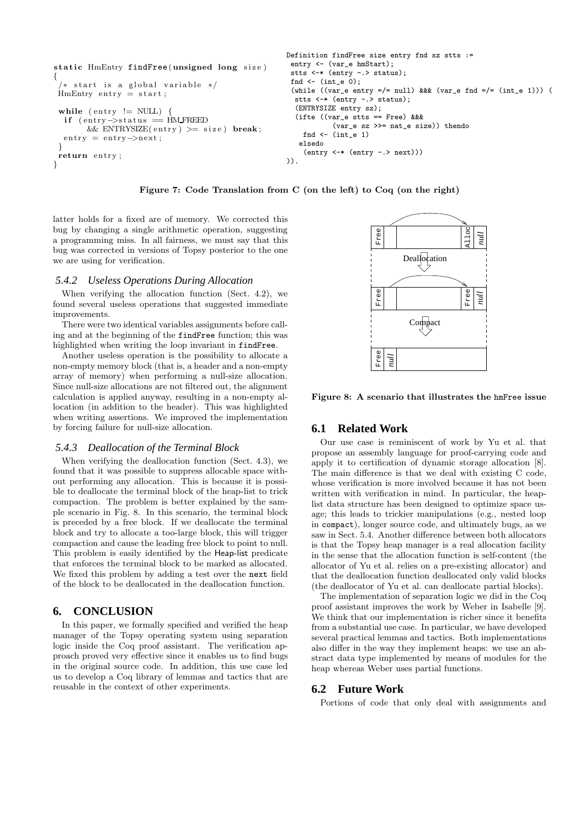```
static HmEntry findFree (unsigned long size)
{
    start is a global variable */
 HmEntry entry = start;while (entry != NULL)if (entry\rightarrowstatus = HM_FREED
  \&&\text{ENTRYSIZE}(\text{entry}) \geq \text{size}) \text{ break};<br>entry = entry->next:
          = entry ->next;
 }
 return entry:
}
                                                             Definition findFree size entry fnd sz stts :=
                                                              entry <- (var e hmStart);
                                                              stts <-* (entry -.> status);
                                                              fnd \leftarrow (int_e 0);
                                                              (while ((var_e entry = /= null) &&& (var_e fnd = /= (int_e 1))) (
                                                               stts <-* (entry -.> status);
                                                               (ENTRYSIZE entry sz);
                                                               (ifte ((var_e stts == Free) &&&
                                                                         (var_e sz >>= nat_e size)) thendo
                                                                 fnd \leftarrow (int_e 1)
                                                                elsedo
                                                                 (entry <-* (entry -.> next)))
                                                             )).
```
Figure 7: Code Translation from C (on the left) to Coq (on the right)

latter holds for a fixed are of memory. We corrected this bug by changing a single arithmetic operation, suggesting a programming miss. In all fairness, we must say that this bug was corrected in versions of Topsy posterior to the one we are using for verification.

#### *5.4.2 Useless Operations During Allocation*

When verifying the allocation function (Sect. 4.2), we found several useless operations that suggested immediate improvements.

There were two identical variables assignments before calling and at the beginning of the findFree function; this was highlighted when writing the loop invariant in findFree.

Another useless operation is the possibility to allocate a non-empty memory block (that is, a header and a non-empty array of memory) when performing a null-size allocation. Since null-size allocations are not filtered out, the alignment calculation is applied anyway, resulting in a non-empty allocation (in addition to the header). This was highlighted when writing assertions. We improved the implementation by forcing failure for null-size allocation.

#### *5.4.3 Deallocation of the Terminal Block*

When verifying the deallocation function (Sect. 4.3), we found that it was possible to suppress allocable space without performing any allocation. This is because it is possible to deallocate the terminal block of the heap-list to trick compaction. The problem is better explained by the sample scenario in Fig. 8. In this scenario, the terminal block is preceded by a free block. If we deallocate the terminal block and try to allocate a too-large block, this will trigger compaction and cause the leading free block to point to null. This problem is easily identified by the Heap-list predicate that enforces the terminal block to be marked as allocated. We fixed this problem by adding a test over the next field of the block to be deallocated in the deallocation function.

# **6. CONCLUSION**

In this paper, we formally specified and verified the heap manager of the Topsy operating system using separation logic inside the Coq proof assistant. The verification approach proved very effective since it enables us to find bugs in the original source code. In addition, this use case led us to develop a Coq library of lemmas and tactics that are reusable in the context of other experiments.



Figure 8: A scenario that illustrates the hmFree issue

# **6.1 Related Work**

Our use case is reminiscent of work by Yu et al. that propose an assembly language for proof-carrying code and apply it to certification of dynamic storage allocation [8]. The main difference is that we deal with existing C code, whose verification is more involved because it has not been written with verification in mind. In particular, the heaplist data structure has been designed to optimize space usage; this leads to trickier manipulations (e.g., nested loop in compact), longer source code, and ultimately bugs, as we saw in Sect. 5.4. Another difference between both allocators is that the Topsy heap manager is a real allocation facility in the sense that the allocation function is self-content (the allocator of Yu et al. relies on a pre-existing allocator) and that the deallocation function deallocated only valid blocks (the deallocator of Yu et al. can deallocate partial blocks).

The implementation of separation logic we did in the Coq proof assistant improves the work by Weber in Isabelle [9]. We think that our implementation is richer since it benefits from a substantial use case. In particular, we have developed several practical lemmas and tactics. Both implementations also differ in the way they implement heaps: we use an abstract data type implemented by means of modules for the heap whereas Weber uses partial functions.

#### **6.2 Future Work**

Portions of code that only deal with assignments and